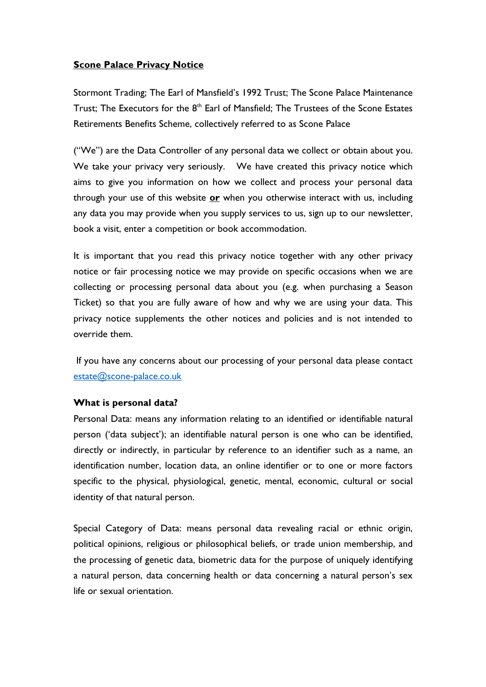## **Scone Palace Privacy Notice**

Stormont Trading; The Earl of Mansfield's 1992 Trust; The Scone Palace Maintenance Trust; The Executors for the  $8<sup>th</sup>$  Earl of Mansfield; The Trustees of the Scone Estates Retirements Benefits Scheme, collectively referred to as Scone Palace

("We") are the Data Controller of any personal data we collect or obtain about you. We take your privacy very seriously. We have created this privacy notice which aims to give you information on how we collect and process your personal data through your use of this website or when you otherwise interact with us, including any data you may provide when you supply services to us, sign up to our newsletter, book a visit, enter a competition or book accommodation.

It is important that you read this privacy notice together with any other privacy notice or fair processing notice we may provide on specific occasions when we are collecting or processing personal data about you (e.g. when purchasing a Season Ticket) so that you are fully aware of how and why we are using your data. This privacy notice supplements the other notices and policies and is not intended to override them.

 If you have any concerns about our processing of your personal data please contact estate@scone-palace.co.uk

## What is personal data?

Personal Data: means any information relating to an identified or identifiable natural person ('data subject'); an identifiable natural person is one who can be identified, directly or indirectly, in particular by reference to an identifier such as a name, an identification number, location data, an online identifier or to one or more factors specific to the physical, physiological, genetic, mental, economic, cultural or social identity of that natural person.

Special Category of Data: means personal data revealing racial or ethnic origin, political opinions, religious or philosophical beliefs, or trade union membership, and the processing of genetic data, biometric data for the purpose of uniquely identifying a natural person, data concerning health or data concerning a natural person's sex life or sexual orientation.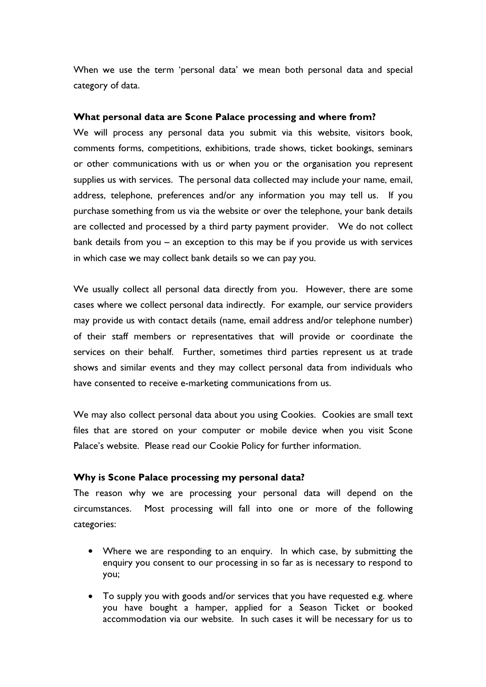When we use the term 'personal data' we mean both personal data and special category of data.

#### What personal data are Scone Palace processing and where from?

We will process any personal data you submit via this website, visitors book, comments forms, competitions, exhibitions, trade shows, ticket bookings, seminars or other communications with us or when you or the organisation you represent supplies us with services. The personal data collected may include your name, email, address, telephone, preferences and/or any information you may tell us. If you purchase something from us via the website or over the telephone, your bank details are collected and processed by a third party payment provider. We do not collect bank details from you – an exception to this may be if you provide us with services in which case we may collect bank details so we can pay you.

We usually collect all personal data directly from you. However, there are some cases where we collect personal data indirectly. For example, our service providers may provide us with contact details (name, email address and/or telephone number) of their staff members or representatives that will provide or coordinate the services on their behalf. Further, sometimes third parties represent us at trade shows and similar events and they may collect personal data from individuals who have consented to receive e-marketing communications from us.

We may also collect personal data about you using Cookies. Cookies are small text files that are stored on your computer or mobile device when you visit Scone Palace's website. Please read our Cookie Policy for further information.

## Why is Scone Palace processing my personal data?

The reason why we are processing your personal data will depend on the circumstances. Most processing will fall into one or more of the following categories:

- Where we are responding to an enquiry. In which case, by submitting the enquiry you consent to our processing in so far as is necessary to respond to you;
- To supply you with goods and/or services that you have requested e.g. where you have bought a hamper, applied for a Season Ticket or booked accommodation via our website. In such cases it will be necessary for us to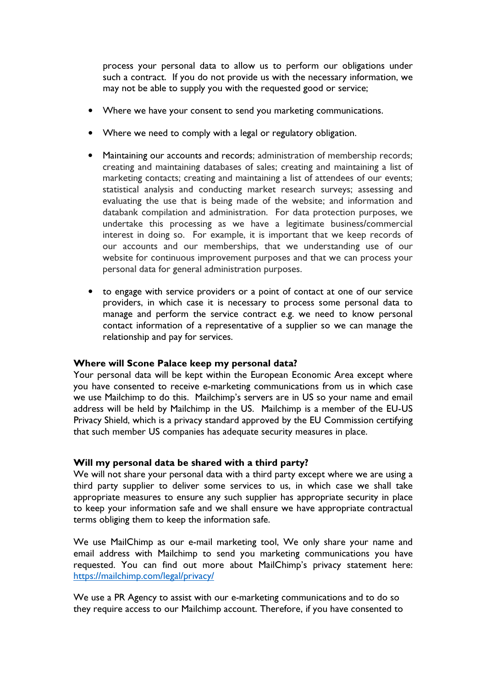process your personal data to allow us to perform our obligations under such a contract. If you do not provide us with the necessary information, we may not be able to supply you with the requested good or service;

- Where we have your consent to send you marketing communications.
- Where we need to comply with a legal or regulatory obligation.
- Maintaining our accounts and records; administration of membership records; creating and maintaining databases of sales; creating and maintaining a list of marketing contacts; creating and maintaining a list of attendees of our events; statistical analysis and conducting market research surveys; assessing and evaluating the use that is being made of the website; and information and databank compilation and administration. For data protection purposes, we undertake this processing as we have a legitimate business/commercial interest in doing so. For example, it is important that we keep records of our accounts and our memberships, that we understanding use of our website for continuous improvement purposes and that we can process your personal data for general administration purposes.
- to engage with service providers or a point of contact at one of our service providers, in which case it is necessary to process some personal data to manage and perform the service contract e.g. we need to know personal contact information of a representative of a supplier so we can manage the relationship and pay for services.

## Where will Scone Palace keep my personal data?

Your personal data will be kept within the European Economic Area except where you have consented to receive e-marketing communications from us in which case we use Mailchimp to do this. Mailchimp's servers are in US so your name and email address will be held by Mailchimp in the US. Mailchimp is a member of the EU-US Privacy Shield, which is a privacy standard approved by the EU Commission certifying that such member US companies has adequate security measures in place.

#### Will my personal data be shared with a third party?

We will not share your personal data with a third party except where we are using a third party supplier to deliver some services to us, in which case we shall take appropriate measures to ensure any such supplier has appropriate security in place to keep your information safe and we shall ensure we have appropriate contractual terms obliging them to keep the information safe.

We use MailChimp as our e-mail marketing tool, We only share your name and email address with Mailchimp to send you marketing communications you have requested. You can find out more about MailChimp's privacy statement here: https://mailchimp.com/legal/privacy/

We use a PR Agency to assist with our e-marketing communications and to do so they require access to our Mailchimp account. Therefore, if you have consented to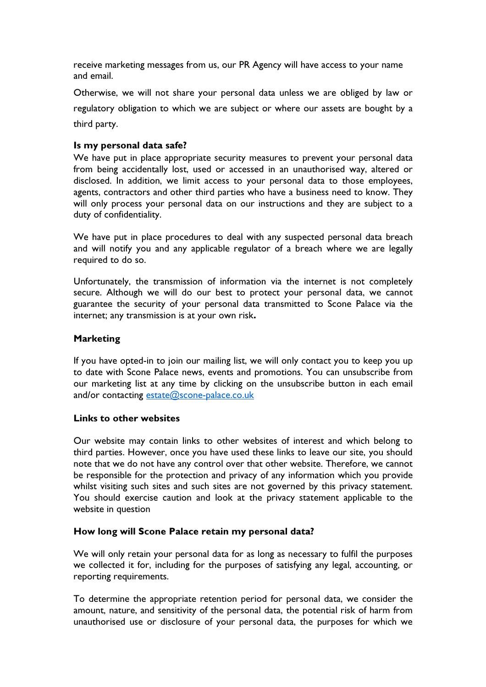receive marketing messages from us, our PR Agency will have access to your name and email.

Otherwise, we will not share your personal data unless we are obliged by law or regulatory obligation to which we are subject or where our assets are bought by a third party.

## Is my personal data safe?

We have put in place appropriate security measures to prevent your personal data from being accidentally lost, used or accessed in an unauthorised way, altered or disclosed. In addition, we limit access to your personal data to those employees, agents, contractors and other third parties who have a business need to know. They will only process your personal data on our instructions and they are subject to a duty of confidentiality.

We have put in place procedures to deal with any suspected personal data breach and will notify you and any applicable regulator of a breach where we are legally required to do so.

Unfortunately, the transmission of information via the internet is not completely secure. Although we will do our best to protect your personal data, we cannot guarantee the security of your personal data transmitted to Scone Palace via the internet; any transmission is at your own risk.

## Marketing

If you have opted-in to join our mailing list, we will only contact you to keep you up to date with Scone Palace news, events and promotions. You can unsubscribe from our marketing list at any time by clicking on the unsubscribe button in each email and/or contacting estate@scone-palace.co.uk

## Links to other websites

Our website may contain links to other websites of interest and which belong to third parties. However, once you have used these links to leave our site, you should note that we do not have any control over that other website. Therefore, we cannot be responsible for the protection and privacy of any information which you provide whilst visiting such sites and such sites are not governed by this privacy statement. You should exercise caution and look at the privacy statement applicable to the website in question

## How long will Scone Palace retain my personal data?

We will only retain your personal data for as long as necessary to fulfil the purposes we collected it for, including for the purposes of satisfying any legal, accounting, or reporting requirements.

To determine the appropriate retention period for personal data, we consider the amount, nature, and sensitivity of the personal data, the potential risk of harm from unauthorised use or disclosure of your personal data, the purposes for which we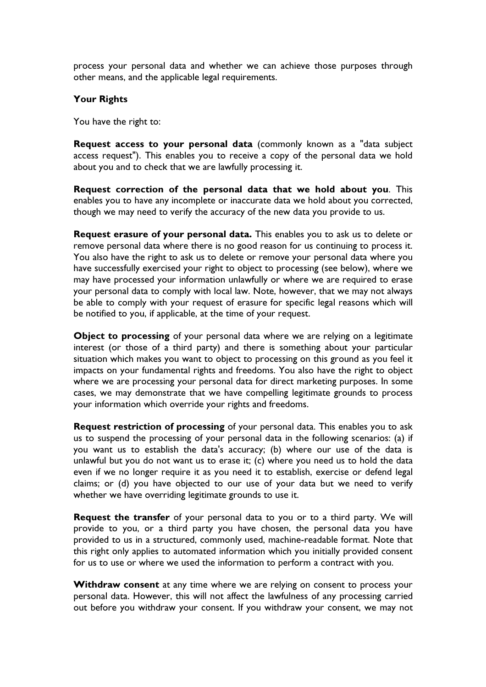process your personal data and whether we can achieve those purposes through other means, and the applicable legal requirements.

## Your Rights

You have the right to:

Request access to your personal data (commonly known as a "data subject access request"). This enables you to receive a copy of the personal data we hold about you and to check that we are lawfully processing it.

Request correction of the personal data that we hold about you. This enables you to have any incomplete or inaccurate data we hold about you corrected, though we may need to verify the accuracy of the new data you provide to us.

Request erasure of your personal data. This enables you to ask us to delete or remove personal data where there is no good reason for us continuing to process it. You also have the right to ask us to delete or remove your personal data where you have successfully exercised your right to object to processing (see below), where we may have processed your information unlawfully or where we are required to erase your personal data to comply with local law. Note, however, that we may not always be able to comply with your request of erasure for specific legal reasons which will be notified to you, if applicable, at the time of your request.

Object to processing of your personal data where we are relying on a legitimate interest (or those of a third party) and there is something about your particular situation which makes you want to object to processing on this ground as you feel it impacts on your fundamental rights and freedoms. You also have the right to object where we are processing your personal data for direct marketing purposes. In some cases, we may demonstrate that we have compelling legitimate grounds to process your information which override your rights and freedoms.

Request restriction of processing of your personal data. This enables you to ask us to suspend the processing of your personal data in the following scenarios: (a) if you want us to establish the data's accuracy; (b) where our use of the data is unlawful but you do not want us to erase it; (c) where you need us to hold the data even if we no longer require it as you need it to establish, exercise or defend legal claims; or (d) you have objected to our use of your data but we need to verify whether we have overriding legitimate grounds to use it.

Request the transfer of your personal data to you or to a third party. We will provide to you, or a third party you have chosen, the personal data you have provided to us in a structured, commonly used, machine-readable format. Note that this right only applies to automated information which you initially provided consent for us to use or where we used the information to perform a contract with you.

Withdraw consent at any time where we are relying on consent to process your personal data. However, this will not affect the lawfulness of any processing carried out before you withdraw your consent. If you withdraw your consent, we may not